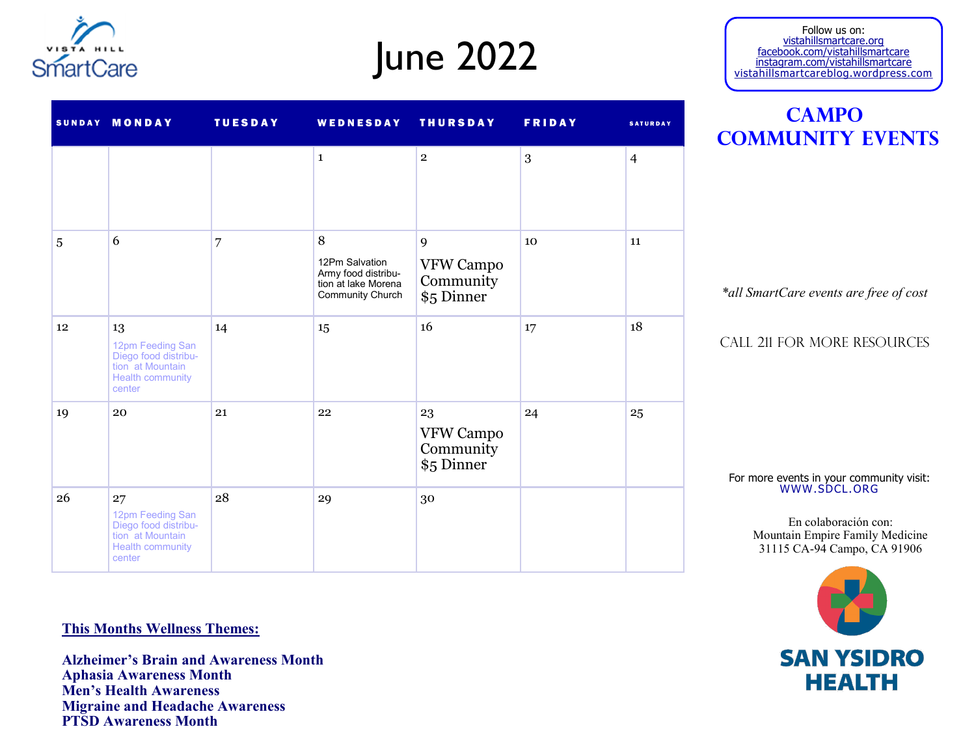

# June 2022

#### Follow us on: vistahillsmartcare.org facebook.com/vistahillsmartcare instagram.com/vistahillsmartcare vistahillsmartcareblog.wordpress.com

| <b>CAMPO</b>            |  |  |  |  |  |  |  |  |
|-------------------------|--|--|--|--|--|--|--|--|
| <b>COMMUNITY EVENTS</b> |  |  |  |  |  |  |  |  |

*\*all SmartCare events are free of cost*

Call 211 for more resources

For more events in your community visit: WWW.SDCL.ORG

> En colaboración con: Mountain Empire Family Medicine 31115 CA-94 Campo, CA 91906



|    |                                                                                                         |    | $\mathbf{1}$                                                                          | $\overline{2}$                             | 3  | $\overline{4}$ |
|----|---------------------------------------------------------------------------------------------------------|----|---------------------------------------------------------------------------------------|--------------------------------------------|----|----------------|
| 5  | 6                                                                                                       | 7  | 8<br>12Pm Salvation<br>Army food distribu-<br>tion at lake Morena<br>Community Church | 9<br>VFW Campo<br>Community<br>\$5 Dinner  | 10 | 11             |
| 12 | 13<br>12pm Feeding San<br>Diego food distribu-<br>tion at Mountain<br><b>Health community</b><br>center | 14 | 15                                                                                    | 16                                         | 17 | 18             |
| 19 | 20                                                                                                      | 21 | 22                                                                                    | 23<br>VFW Campo<br>Community<br>\$5 Dinner | 24 | 25             |
| 26 | 27<br>12pm Feeding San<br>Diego food distribu-<br>tion at Mountain<br><b>Health community</b><br>center | 28 | 29                                                                                    | 30                                         |    |                |

SUNDAY MONDAY TUESDAY WEDNESDAY THURSDAY FRIDAY SATURDAY

#### **This Months Wellness Themes:**

**Alzheimer's Brain and Awareness Month Aphasia Awareness Month Men's Health Awareness Migraine and Headache Awareness PTSD Awareness Month**